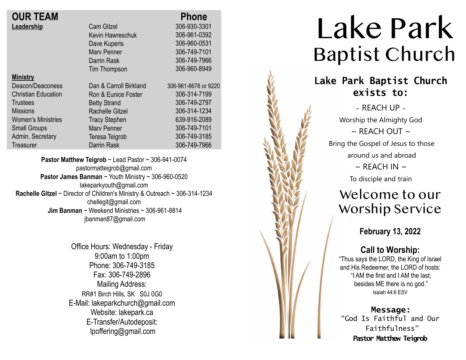| <b>OUR TEAM</b>            |                        | <b>Phone</b>         |
|----------------------------|------------------------|----------------------|
| Leadership                 | <b>Cam Gitzel</b>      | 306-930-3301         |
|                            | Kevin Hawreschuk       | 306-961-0392         |
|                            | Dave Kuperis           | 306-960-0531         |
|                            | <b>Mary Penner</b>     | 306-749-7101         |
|                            | Darrin Rask            | 306-749-7966         |
|                            | <b>Tim Thompson</b>    | 306-960-8949         |
| <b>Ministry</b>            |                        |                      |
| Deacon/Deaconess           | Dan & Carroll Birkland | 306-961-8676 or 9220 |
| <b>Christian Education</b> | Ron & Eunice Foster    | 306-314-7199         |
| <b>Trustees</b>            | <b>Betty Strand</b>    | 306-749-2797         |
| <b>Missions</b>            | <b>Rachelle Gitzel</b> | 306-314-1234         |
| <b>Women's Ministries</b>  | <b>Tracy Stephen</b>   | 639-916-2089         |
| <b>Small Groups</b>        | <b>Mary Penner</b>     | 306-749-7101         |
| Admin. Secretary           | Teresa Teigrob         | 306-749-3185         |
| <b>Treasurer</b>           | Darrin Rask            | 306-749-7966         |

**Pastor Matthew Teigrob** ~ Lead Pastor ~ 306-941-0074 pastormatteigrob@gmail.com **Pastor James Banman** ~ Youth Ministry ~ 306-960-0520 lakeparkyouth@gmail.com **Rachelle Gitzel** ~ Director of Children's Ministry & Outreach ~ 306-314-1234 chellegit@gmail.com  **Jim Banman** ~ Weekend Ministries ~ 306-961-8814 jbanman87@gmail.com

> Office Hours: Wednesday - Friday 9:00am to 1:00pm Phone: 306-749-3185 Fax: 306-749-2896 Mailing Address: RR#1 Birch Hills, SK S0J 0G0 E-Mail: lakeparkchurch@gmail.com Website: lakepark.ca E-Transfer/Autodeposit: lpoffering@gmail.com